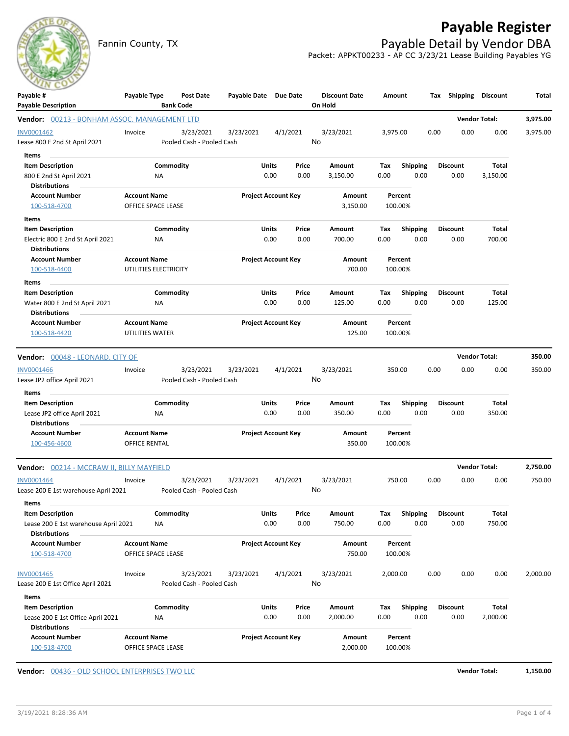

Fannin County, TX **Payable Detail by Vendor DBA** Packet: APPKT00233 - AP CC 3/23/21 Lease Building Payables YG



| Payable #<br><b>Payable Description</b>                      | Payable Type                                 | Post Date<br><b>Bank Code</b>          | Payable Date Due Date      |                            |                  | <b>Discount Date</b><br>On Hold | Amount             |                         |      | Tax Shipping            | <b>Discount</b> | Total    |
|--------------------------------------------------------------|----------------------------------------------|----------------------------------------|----------------------------|----------------------------|------------------|---------------------------------|--------------------|-------------------------|------|-------------------------|-----------------|----------|
| Vendor: 00213 - BONHAM ASSOC. MANAGEMENT LTD                 |                                              |                                        |                            |                            |                  |                                 |                    |                         |      | <b>Vendor Total:</b>    |                 | 3,975.00 |
| INV0001462<br>Lease 800 E 2nd St April 2021                  | Invoice                                      | 3/23/2021<br>Pooled Cash - Pooled Cash | 3/23/2021                  | 4/1/2021                   |                  | 3/23/2021<br>No                 | 3,975.00           |                         | 0.00 | 0.00                    | 0.00            | 3,975.00 |
| Items                                                        |                                              |                                        |                            |                            |                  |                                 |                    |                         |      |                         |                 |          |
| <b>Item Description</b>                                      |                                              | Commodity                              |                            | Units                      | Price            | Amount                          | Tax                | <b>Shipping</b>         |      | <b>Discount</b>         | Total           |          |
| 800 E 2nd St April 2021<br><b>Distributions</b>              | NA                                           |                                        |                            | 0.00                       | 0.00             | 3,150.00                        | 0.00               | 0.00                    |      | 0.00                    | 3,150.00        |          |
| <b>Account Number</b><br>100-518-4700                        | <b>Account Name</b><br>OFFICE SPACE LEASE    |                                        |                            | <b>Project Account Key</b> |                  | Amount<br>3,150.00              | Percent<br>100.00% |                         |      |                         |                 |          |
| Items                                                        |                                              |                                        |                            |                            |                  |                                 |                    |                         |      |                         |                 |          |
| <b>Item Description</b>                                      |                                              | Commodity                              |                            | <b>Units</b>               | Price            | Amount                          | Tax                | <b>Shipping</b>         |      | <b>Discount</b>         | Total           |          |
| Electric 800 E 2nd St April 2021<br><b>Distributions</b>     | NA                                           |                                        |                            | 0.00                       | 0.00             | 700.00                          | 0.00               | 0.00                    |      | 0.00                    | 700.00          |          |
| <b>Account Number</b><br>100-518-4400                        | <b>Account Name</b><br>UTILITIES ELECTRICITY |                                        |                            | <b>Project Account Key</b> |                  | Amount<br>700.00                | Percent<br>100.00% |                         |      |                         |                 |          |
| Items                                                        |                                              |                                        |                            |                            |                  |                                 |                    |                         |      |                         |                 |          |
| <b>Item Description</b><br>Water 800 E 2nd St April 2021     | ΝA                                           | Commodity                              |                            | Units<br>0.00              | Price<br>0.00    | Amount<br>125.00                | Tax<br>0.00        | <b>Shipping</b><br>0.00 |      | <b>Discount</b><br>0.00 | Total<br>125.00 |          |
| <b>Distributions</b>                                         |                                              |                                        |                            |                            |                  |                                 |                    |                         |      |                         |                 |          |
| <b>Account Number</b><br>100-518-4420                        | <b>Account Name</b><br>UTILITIES WATER       |                                        | <b>Project Account Key</b> |                            | Amount<br>125.00 | Percent<br>100.00%              |                    |                         |      |                         |                 |          |
| Vendor: 00048 - LEONARD, CITY OF                             |                                              |                                        |                            |                            |                  |                                 |                    |                         |      | <b>Vendor Total:</b>    |                 | 350.00   |
| <b>INV0001466</b>                                            | Invoice                                      | 3/23/2021                              | 3/23/2021                  | 4/1/2021                   |                  | 3/23/2021                       |                    | 350.00                  | 0.00 | 0.00                    | 0.00            | 350.00   |
| Lease JP2 office April 2021                                  |                                              | Pooled Cash - Pooled Cash              |                            |                            |                  | No                              |                    |                         |      |                         |                 |          |
| Items                                                        |                                              |                                        |                            |                            |                  |                                 |                    |                         |      |                         |                 |          |
| <b>Item Description</b>                                      |                                              | Commodity                              |                            | Units                      | Price            | Amount                          | Tax                | <b>Shipping</b>         |      | <b>Discount</b>         | Total           |          |
| Lease JP2 office April 2021                                  | <b>NA</b>                                    |                                        |                            | 0.00                       | 0.00             | 350.00                          | 0.00               | 0.00                    |      | 0.00                    | 350.00          |          |
| <b>Distributions</b>                                         |                                              |                                        |                            |                            |                  |                                 |                    |                         |      |                         |                 |          |
| <b>Account Number</b><br>100-456-4600                        | <b>Account Name</b><br>OFFICE RENTAL         |                                        |                            | <b>Project Account Key</b> |                  | Amount<br>350.00                |                    | Percent<br>100.00%      |      |                         |                 |          |
| Vendor: 00214 - MCCRAW II, BILLY MAYFIELD                    |                                              |                                        |                            |                            |                  |                                 |                    |                         |      | <b>Vendor Total:</b>    |                 | 2,750.00 |
| INV0001464<br>Lease 200 E 1st warehouse April 2021           | Invoice                                      | 3/23/2021<br>Pooled Cash - Pooled Cash | 3/23/2021                  | 4/1/2021                   |                  | 3/23/2021<br>No                 |                    | 750.00                  | 0.00 | 0.00                    | 0.00            | 750.00   |
| Items                                                        |                                              |                                        |                            |                            |                  |                                 |                    |                         |      |                         |                 |          |
| <b>Item Description</b>                                      |                                              | Commodity                              |                            | Units                      | Price            | Amount                          | Tax                | <b>Shipping</b>         |      | <b>Discount</b>         | <b>Total</b>    |          |
| Lease 200 E 1st warehouse April 2021<br><b>Distributions</b> | <b>NA</b>                                    |                                        |                            | 0.00                       | 0.00             | 750.00                          | 0.00               | 0.00                    |      | 0.00                    | 750.00          |          |
| <b>Account Number</b><br>100-518-4700                        | <b>Account Name</b><br>OFFICE SPACE LEASE    |                                        |                            | <b>Project Account Key</b> |                  | Amount<br>750.00                |                    | Percent<br>100.00%      |      |                         |                 |          |
| INV0001465                                                   | Invoice                                      | 3/23/2021                              | 3/23/2021                  | 4/1/2021                   |                  | 3/23/2021                       | 2,000.00           |                         | 0.00 | 0.00                    | 0.00            | 2,000.00 |
| Lease 200 E 1st Office April 2021                            |                                              | Pooled Cash - Pooled Cash              |                            |                            |                  | No                              |                    |                         |      |                         |                 |          |
| Items                                                        |                                              |                                        |                            |                            |                  |                                 |                    |                         |      |                         |                 |          |
| <b>Item Description</b>                                      |                                              | Commodity                              |                            | Units                      | Price            | Amount                          | Tax                | <b>Shipping</b>         |      | <b>Discount</b>         | Total           |          |
| Lease 200 E 1st Office April 2021                            | ΝA                                           |                                        |                            | 0.00                       | 0.00             | 2,000.00                        | 0.00               | 0.00                    |      | 0.00                    | 2,000.00        |          |
| <b>Distributions</b>                                         |                                              |                                        |                            |                            |                  |                                 |                    |                         |      |                         |                 |          |
| <b>Account Number</b><br>100-518-4700                        | <b>Account Name</b><br>OFFICE SPACE LEASE    |                                        |                            | Project Account Key        |                  | Amount<br>2,000.00              |                    | Percent<br>100.00%      |      |                         |                 |          |

**Vendor:** 00436 - OLD SCHOOL ENTERPRISES TWO LLC **Vendor Total: 1,150.00**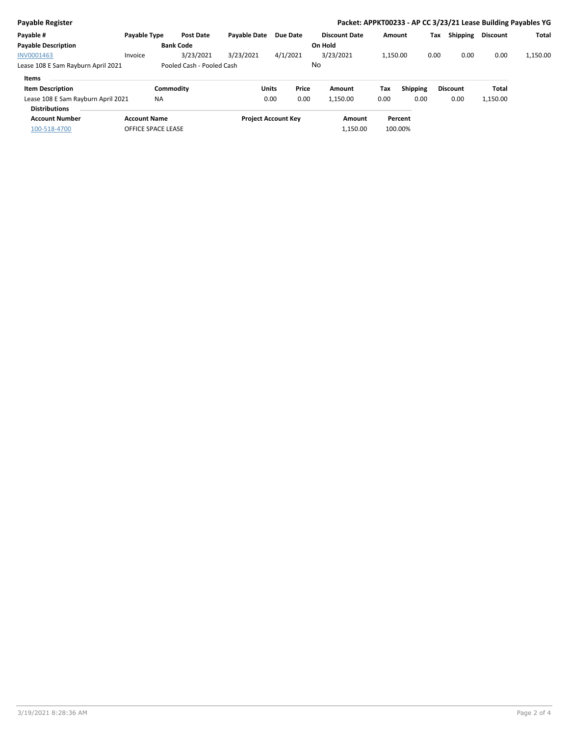| <b>Payable Register</b>            |                     |                           |                     |                            |       |                      |          |                 |      |                 |                 | Packet: APPKT00233 - AP CC 3/23/21 Lease Building Payables YG |
|------------------------------------|---------------------|---------------------------|---------------------|----------------------------|-------|----------------------|----------|-----------------|------|-----------------|-----------------|---------------------------------------------------------------|
| Payable #                          | Payable Type        | <b>Post Date</b>          | <b>Pavable Date</b> | Due Date                   |       | <b>Discount Date</b> | Amount   |                 | Tax  | Shipping        | <b>Discount</b> | Total                                                         |
| <b>Payable Description</b>         |                     | <b>Bank Code</b>          |                     |                            |       | On Hold              |          |                 |      |                 |                 |                                                               |
| INV0001463                         | Invoice             | 3/23/2021                 | 3/23/2021           | 4/1/2021                   |       | 3/23/2021            | 1,150.00 |                 | 0.00 | 0.00            | 0.00            | 1,150.00                                                      |
| Lease 108 E Sam Rayburn April 2021 |                     | Pooled Cash - Pooled Cash |                     |                            |       | No                   |          |                 |      |                 |                 |                                                               |
| Items                              |                     |                           |                     |                            |       |                      |          |                 |      |                 |                 |                                                               |
| <b>Item Description</b>            |                     | Commodity                 |                     | <b>Units</b>               | Price | Amount               | Tax      | <b>Shipping</b> |      | <b>Discount</b> | Total           |                                                               |
| Lease 108 E Sam Rayburn April 2021 | <b>NA</b>           |                           |                     | 0.00                       | 0.00  | 1,150.00             | 0.00     | 0.00            |      | 0.00            | 1,150.00        |                                                               |
| <b>Distributions</b>               |                     |                           |                     |                            |       |                      |          |                 |      |                 |                 |                                                               |
| <b>Account Number</b>              | <b>Account Name</b> |                           |                     | <b>Project Account Key</b> |       | Amount               |          | Percent         |      |                 |                 |                                                               |
| 100-518-4700                       | OFFICE SPACE LEASE  |                           |                     |                            |       | 1,150.00             |          | 100.00%         |      |                 |                 |                                                               |
|                                    |                     |                           |                     |                            |       |                      |          |                 |      |                 |                 |                                                               |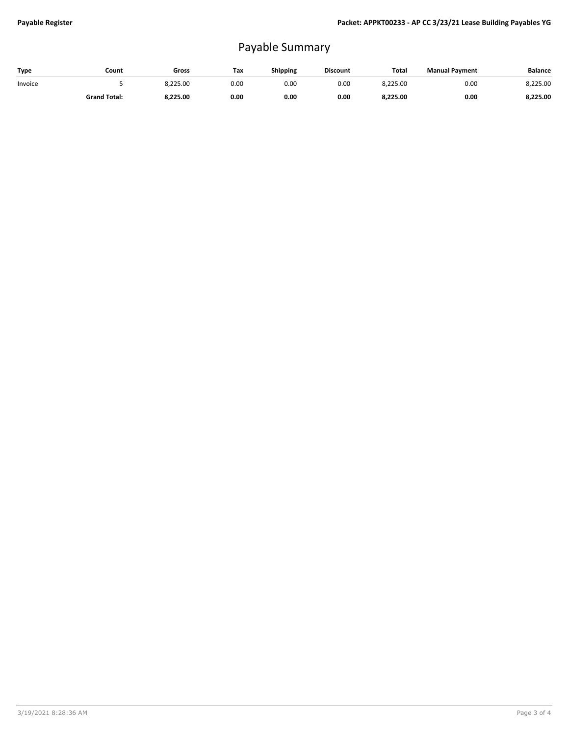## Payable Summary

| Type    | Count               | Gross    | Tax  | <b>Shipping</b> | <b>Discount</b> | Total    | <b>Manual Payment</b> | <b>Balance</b> |
|---------|---------------------|----------|------|-----------------|-----------------|----------|-----------------------|----------------|
| Invoice |                     | 8.225.00 | 0.00 | 0.00            | 0.00            | 8.225.00 | 0.00                  | 8.225.00       |
|         | <b>Grand Total:</b> | 8.225.00 | 0.00 | 0.00            | 0.00            | 8,225.00 | 0.00                  | 8.225.00       |